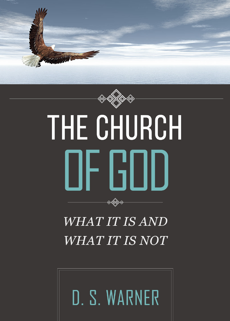



# THE CHURCH OF GOD

# *WHAT IT IS AND WHAT IT IS NOT*

to Aforto

D. S. WARNER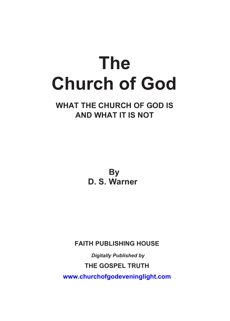# **The Church of God**

# **WHAT THE CHURCH OF GOD IS AND WHAT IT IS NOT**

**By D. S. Warner**

**FAITH PUBLISHING HOUSE**

*Digitally Published by* **THE GOSPEL TRUTH www.churchofgodeveninglight.com**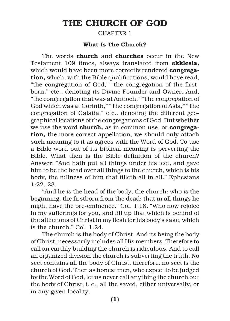# **THE CHURCH OF GOD**

CHAPTER 1

#### **What Is The Church?**

The words **church** and **churches** occur in the New Testament 109 times, always translated from **ekklesia,** which would have been more correctly rendered **congregation,** which, with the Bible qualifications, would have read, "the congregation of God," "the congregation of the firstborn," etc., denoting its Divine Founder and Owner. And, "the congregation that was at Antioch," "The congregation of God which was at Corinth," "The congregation of Asia," "The congregation of Galatia," etc., denoting the different geographical locations of the congregations of God. But whether we use the word **church,** as in common use, or **congregation,** the more correct appellation, we should only attach such meaning to it as agrees with the Word of God. To use a Bible word out of its biblical meaning is perverting the Bible. What then is the Bible definition of the church? Answer: "And hath put all things under his feet, and gave him to be the head over all things to the church, which is his body, the fullness of him that filleth all in all." Ephesians 1:22, 23.

"And he is the head of the body, the church: who is the beginning, the firstborn from the dead; that in all things he might have the pre-eminence." Col. 1:18. "Who now rejoice in my sufferings for you, and fill up that which is behind of the afflictions of Christ in my flesh for his body's sake, which is the church." Col. 1:24.

The church is the body of Christ. And its being the body of Christ, necessarily includes all His members. Therefore to call an earthly building the church is ridiculous. And to call an organized division the church is subverting the truth. No sect contains all the body of Christ, therefore, no sect is the church of God. Then as honest men, who expect to be judged by the Word of God, let us never call anything the church but the body of Christ; i. e., all the saved, either universally, or in any given locality.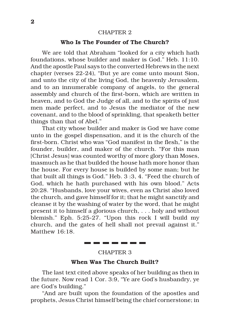#### CHAPTER 2

#### **Who Is The Founder of The Church?**

We are told that Abraham "looked for a city which hath foundations, whose builder and maker is God." Heb. 11:10. And the apostle Paul says to the converted Hebrews in the next chapter (verses 22-24), "But ye are come unto mount Sion, and unto the city of the living God, the heavenly Jerusalem, and to an innumerable company of angels, to the general assembly and church of the first-born, which are written in heaven, and to God the Judge of all, and to the spirits of just men made perfect, and to Jesus the mediator of the new covenant, and to the blood of sprinkling, that speaketh better things than that of Abel."

That city whose builder and maker is God we have come unto in the gospel dispensation, and it is the church of the first-born. Christ who was "God manifest in the flesh," is the founder, builder, and maker of the church. "For this man [Christ Jesus] was counted worthy of more glory than Moses, inasmuch as he that builded the house hath more honor than the house. For every house is builded by some man; but he that built all things is God." Heb. 3 :3, 4. "Feed the church of God, which he hath purchased with his own blood." Acts 20:28. "Husbands, love your wives, even as Christ also loved the church, and gave himself for it; that he might sanctify and cleanse it by the washing of water by the word, that he might present it to himself a glorious church, . . . holy and without blemish." Eph. 5:25-27. "Upon this rock I will build my church, and the gates of hell shall not prevail against it." Matthew 16:18.

#### CHAPTER 3

------

#### **When Was The Church Built?**

The last text cited above speaks of her building as then in the future. Now read 1 Cor. 3:9, "Ye are God's husbandry, ye are God's building."

"And are built upon the foundation of the apostles and prophets, Jesus Christ himself being the chief cornerstone; in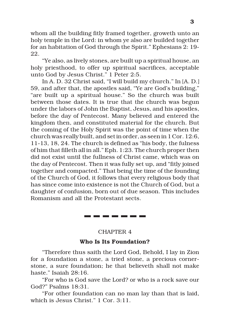whom all the building fitly framed together, groweth unto an holy temple in the Lord: in whom ye also are builded together for an habitation of God through the Spirit." Ephesians 2: 19- 22.

"Ye also, as lively stones, are built up a spiritual house, an holy priesthood, to offer up spiritual sacrifices, acceptable unto God by Jesus Christ." 1 Peter 2:5.

In A. D. 32 Christ said, "I will build my church." In [A. D.] 59, and after that, the apostles said, "Ye are God's building," "are built up a spiritual house." So the church was built between those dates. It is true that the church was begun under the labors of John the Baptist, Jesus, and his apostles, before the day of Pentecost. Many believed and entered the kingdom then, and constituted material for the church. But the coming of the Holy Spirit was the point of time when the church was really built, and set in order, as seen in 1 Cor. 12:6, 11-13, 18, 24. The church is defined as "his body, the fulness of him that filleth all in all." Eph. 1:23. The church proper then did not exist until the fullness of Christ came, which was on the day of Pentecost. Then it was fully set up, and "fitly joined together and compacted." That being the time of the founding of the Church of God, it follows that every religious body that has since come into existence is not the Church of God, but a daughter of confusion, born out of due season. This includes Romanism and all the Protestant sects.

\_\_\_\_\_\_\_

#### CHAPTER 4

#### **Who Is Its Foundation?**

"Therefore thus saith the Lord God, Behold, I lay in Zion for a foundation a stone, a tried stone, a precious cornerstone, a sure foundation; he that believeth shall not make haste." Isaiah 28:16.

"For who is God save the Lord? or who is a rock save our God?" Psalms 18:31.

"For other foundation can no man lay than that is laid, which is Jesus Christ." 1 Cor. 3:11.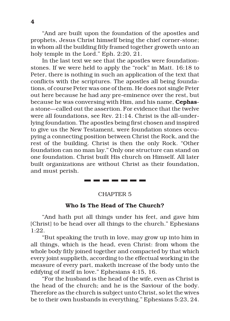"And are built upon the foundation of the apostles and prophets, Jesus Christ himself being the chief corner-stone; in whom all the building fitly framed together groweth unto an holy temple in the Lord." Eph. 2:20, 21.

In the last text we see that the apostles were foundationstones. If we were held to apply the "rock" in Matt. 16:18 to Peter, there is nothing in such an application of the text that conflicts with the scriptures. The apostles all being foundations, of course Peter was one of them. He does not single Peter out here because he had any pre-eminence over the rest, but because he was conversing with Him, and his name, **Cephas**a stone—called out the assertion. For evidence that the twelve were all foundations, see Rev. 21:14. Christ is the all-underlying foundation. The apostles being first chosen and inspired to give us the New Testament, were foundation stones occupying a connecting position between Christ the Rock, and the rest of the building. Christ is then the only Rock. "Other foundation can no man lay." Only one structure can stand on one foundation. Christ built His church on Himself. All later built organizations are without Christ as their foundation, and must perish.

#### CHAPTER 5

. . . . . . .

#### **Who Is The Head of The Church?**

"And hath put all things under his feet, and gave him [Christ] to be head over all things to the church." Ephesians 1:22.

"But speaking the truth in love, may grow up into him in all things, which is the head, even Christ: from whom the whole body fitly joined together and compacted by that which every joint supplieth, according to the effectual working in the measure of every part, maketh increase of the body unto the edifying of itself in love." Ephesians 4:15, 16.

"For the husband is the head of the wife, even as Christ is the head of the church; and he is the Saviour of the body. Therefore as the church is subject unto Christ, so let the wives be to their own husbands in everything." Ephesians 5:23, 24.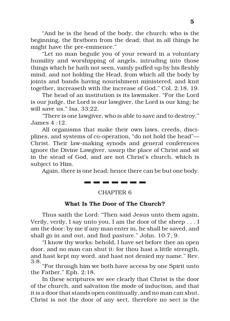"And he is the head of the body, the church: who is the beginning, the firstborn from the dead; that in all things he might have the pre-eminence."

"Let no man beguile you of your reward in a voluntary humility and worshipping of angels, intruding into those things which he hath not seen, vainly puffed up by his fleshly mind, and not holding the Head, from which all the body by joints and bands having nourishment ministered, and knit together, increaseth with the increase of God." Col. 2:18, 19.

The head of an institution is its lawmaker. "For the Lord is our judge, the Lord is our lawgiver, the Lord is our king; he will save us." Isa. 33:22.

"There is one lawgiver, who is able to save and to destroy." James 4 :12.

All organisms that make their own laws, creeds, disciplines, and systems of co-operation, "do not hold the head"— Christ. Their law-making synods and general conferences ignore the Divine Lawgiver, usurp the place of Christ and sit in the stead of God, and are not Christ's church, which is subject to Him.

Again, there is one head; hence there can be but one body. . . . . . . . . . .

#### CHAPTER 6

#### **What Is The Door of The Church?**

Thus saith the Lord: "Then said Jesus unto them again, Verily, verily, I say unto you, I am the door of the sheep . . . I am the door: by me if any man enter in, he shall be saved, and shall go in and out, and find pasture." John. 10:7, 9.

"I know thy works: behold, I have set before thee an open door, and no man can shut it: for thou hast a little strength, and hast kept my word, and hast not denied my name." Rev. 3:8. "For through him we both have access by one Spirit unto

the Father." Eph. 2:18.

In these scriptures we see clearly that Christ is the door of the church, and salvation the mode of induction, and that it is a door that stands open continually, and no man can shut. Christ is not the door of any sect, therefore no sect is the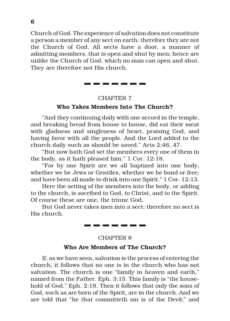Church of God. The experience of salvation does not constitute a person a member of any sect on earth; therefore they are not the Church of God. All sects have a door, a manner of admitting members, that is open and shut by men; hence are unlike the Church of God, which no man can open and shut. They are therefore not His church.

-------

#### CHAPTER 7

#### **Who Takes Members Into The Church?**

"And they continuing daily with one accord in the temple, and breaking bread from house to house, did eat their meat with gladness and singleness of heart, praising God, and having favor with all the people. And the Lord added to the church daily such as should be saved." Acts 2:46, 47.

"But now hath God set the members every one of them in the body, as it hath pleased him." 1 Cor. 12:18.

"For by one Spirit are we all baptized into one body, whether we be Jews or Gentiles, whether we be bond or free; and have been all made to drink into one Spirit." 1 Cor. 12:13.

Here the setting of the members into the body, or adding to the church, is ascribed to God, to Christ, and to the Spirit. Of course these are one, the triune God.

But God never takes men into a sect; therefore no sect is His church.

#### CHAPTER 8

\_\_\_\_\_\_\_

#### **Who Are Members of The Church?**

If, as we have seen, salvation is the process of entering the church, it follows that no one is in the church who has not salvation. The church is one "family in heaven and earth," named from the Father. Eph. 3:15. This family is "the household of God." Eph. 2:19. Then it follows that only the sons of God, such as are born of the Spirit, are in the church. And we are told that "he that committeth sin is of the Devil;" and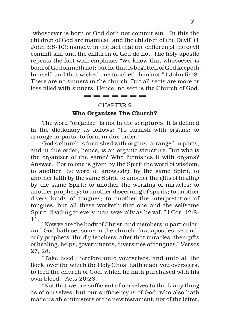"whosoever is born of God doth not commit sin" "In this the children of God are manifest, and the children of the Devil" (1 John 3:8-10); namely, in the fact that the children of the devil commit sin, and the children of God do not. The holy apostle repeats the fact with emphasis "We know that whosoever is born of God sinneth not; but he that is begotten of God keepeth himself, and that wicked one toucheth him not." I John 5:18. There are no sinners in the church. But all sects are more or less filled with sinners. Hence, no sect is the Church of God.

# CHAPTER 9 **Who Organizes The Church?**

The word "organize" is not in the scriptures. It is defined in the dictionary as follows: "To furnish with organs; to arrange in parts; to form in due order."

God's church is furnished with organs, arranged in parts, and in due order; hence, is an organic structure. But who is the organizer of the same? Who furnishes it with organs? Answer: "For to one is given by the Spirit the word of wisdom; to another the word of knowledge by the same Spirit; to another faith by the same Spirit; to another the gifts of healing by the same Spirit; to another the working of miracles; to another prophecy; to another discerning of spirits; to another divers kinds of tongues; to another the interpretation of tongues; but all these worketh that one and the selfsame Spirit, dividing to every man severally as he will." I Cor. 12:8- 11.

"Now ye are the body of Christ, and members in particular. And God hath set some in the church, first apostles, secondarily prophets, thirdly teachers, after that miracles, then gifts of healing, helps, governments, diversities of tongues." Verses 27, 28.

"Take heed therefore unto yourselves, and unto all the flock, over the which the Holy Ghost hath made you overseers, to feed the church of God, which he hath purchased with his own blood." Acts 20:28.

"Not that we are sufficient of ourselves to think any thing as of ourselves; but our sufficiency is of God; who also hath made us able ministers of the new testament; not of the letter,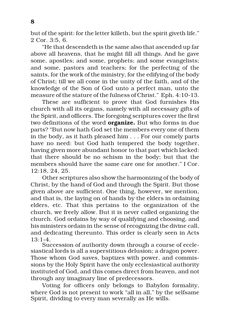but of the spirit: for the letter killeth, but the spirit giveth life." 2 Cor. 3:5, 6.

"He that descendeth is the same also that ascended up far above all heavens, that he might fill all things. And he gave some, apostles; and some, prophets; and some evangelists; and some, pastors and teachers; for the perfecting of the saints, for the work of the ministry, for the edifying of the body of Christ; till we all come in the unity of the faith, and of the knowledge of the Son of God unto a perfect man, unto the measure of the stature of the fulness of Christ." Eph. 4:10-13.

These are sufficient to prove that God furnishes His church with all its organs, namely with all necessary gifts of the Spirit, and officers. The foregoing scriptures cover the first two definitions of the word **organize.** But who forms in due parts? "But now hath God set the members every one of them in the body, as it hath pleased him . . . For our comely parts have no need: but God hath tempered the body together, having given more abundant honor to that part which lacked: that there should be no schism in the body; but that the members should have the same care one for another." I Cor. 12:18, 24, 25.

Other scriptures also show the harmonizing of the body of Christ, by the hand of God and through the Spirit. But those given above are sufficient. One thing, however, we mention, and that is, the laying on of hands by the elders in ordaining elders, etc. That this pertains to the organization of the church, we freely allow. But it is never called organizing the church. God ordains by way of qualifying and choosing, and his ministers ordain in the sense of recognizing the divine call, and dedicating thereunto. This order is clearly seen in Acts 13:1-4.

Succession of authority down through a course of ecclesiastical lords is all a superstitious delusion; a dragon power. Those whom God saves, baptizes with power, and commissions by the Holy Spirit have the only ecclesiastical authority instituted of God, and this comes direct from heaven, and not through any imaginary line of predecessors.

Voting for officers only belongs to Babylon formality, where God is not present to work "all in all," by the selfsame Spirit, dividing to every man severally as He wills.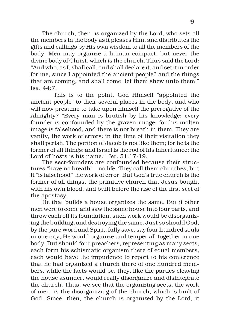The church, then, is organized by the Lord, who sets all the members in the body as it pleases Him, and distributes the gifts and callings by His own wisdom to all the members of the body. Men may organize a human compact, but never the divine body of Christ, which is the church. Thus said the Lord: "And who, as I, shall call, and shall declare it, and set it in order for me, since I appointed the ancient people? and the things that are coming, and shall come, let them shew unto them." Isa.  $44.7$ .

This is to the point. God Himself "appointed the ancient people" to their several places in the body, and who will now presume to take upon himself the prerogative of the Almighty? "Every man is brutish by his knowledge; every founder is confounded by the graven image: for his molten image is falsehood, and there is not breath in them. They are vanity, the work of errors: in the time of their visitation they shall perish. The portion of Jacob is not like them; for he is the former of all things: and Israel is the rod of his inheritance; the Lord of hosts is his name." Jer. 51:17-19.

The sect-founders are confounded because their structures "have no breath"—no life. They call them churches, but it "is falsehood" the work of error. But God's true church is the former of all things, the primitive church that Jesus bought with his own blood, and built before the rise of the first sect of the apostasy.

He that builds a house organizes the same. But if other men were to come and saw the same house into four parts, and throw each off its foundation, such work would be disorganizing the building, and destroying the same. Just so should God, by the pure Word and Spirit, fully save, say four hundred souls in one city, He would organize and temper all together in one body. But should four preachers, representing as many sects, each form his schismatic organism there of equal members, each would have the impudence to report to his conference that he had organized a church there of one hundred members, while the facts would be, they, like the parties cleaving the house asunder, would really disorganize and disintegrate the church. Thus, we see that the organizing sects, the work of men, is the disorganizing of the church, which is built of God. Since, then, the church is organized by the Lord, it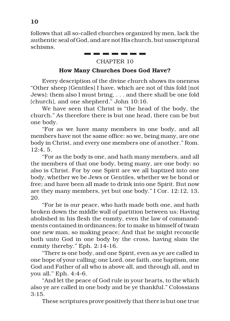follows that all so-called churches organized by men, lack the authentic seal of God, and are not His church, but unscriptural schisms.

#### --------CHAPTER 10

#### **How Many Churches Does God Have?**

Every description of the divine church shows its oneness "Other sheep [Gentiles] I have, which are not of this fold [not Jews]: them also I must bring, . . . and there shall be one fold [church], and one shepherd." John 10:16.

We have seen that Christ is "the head of the body, the church." As therefore there is but one head, there can be but one body.

"For as we have many members in one body, and all members have not the same office: so we, being many, are one body in Christ, and every one members one of another." Rom. 12:4, 5.

"For as the body is one, and hath many members, and all the members of that one body, being many, are one body: so also is Christ. For by one Spirit are we all baptized into one body, whether we be Jews or Gentiles, whether we be bond or free; and have been all made to drink into one Spirit. But now are they many members, yet but one body." I Cor. 12:12, 13, 20.

"For he is our peace, who hath made both one, and hath broken down the middle wall of partition between us; Having abolished in his flesh the enmity, even the law of commandments contained in ordinances; for to make in himself of twain one new man, so making peace; And that he might reconcile both unto God in one body by the cross, having slain the enmity thereby." Eph. 2:14-16.

"There is one body, and one Spirit, even as ye are called in one hope of your calling; one Lord, one faith, one baptism, one God and Father of all who is above all, and through all, and in you all." Eph. 4:4-6.

"And let the peace of God rule in your hearts, to the which also ye are called in one body and be ye thankful." Colossians  $3:15.$ 

These scriptures prove positively that there is but one true

**10**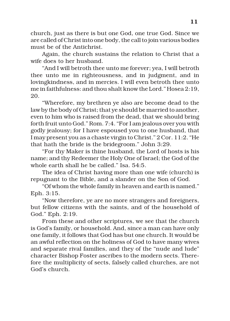church, just as there is but one God, one true God. Since we are called of Christ into one body, the call to join various bodies must be of the Antichrist.

Again, the church sustains the relation to Christ that a wife does to her husband.

"And I will betroth thee unto me forever; yea, I will betroth thee unto me in righteousness, and in judgment, and in lovingkindness, and in mercies. I will even betroth thee unto me in faithfulness: and thou shalt know the Lord." Hosea 2:19, 20.

"Wherefore, my brethren ye also are become dead to the law by the body of Christ; that ye should be married to another, even to him who is raised from the dead, that we should bring forth fruit unto God." Rom. 7:4. "For I am jealous over you with godly jealousy; for I have espoused you to one husband, that I may present you as a chaste virgin to Christ." 2 Cor. 11:2. "He that hath the bride is the bridegroom." John 3:29.

"For thy Maker is thine husband, the Lord of hosts is his name; and thy Redeemer the Holy One of Israel; the God of the whole earth shall he be called." Isa. 54:5.

The idea of Christ having more than one wife (church) is repugnant to the Bible, and a slander on the Son of God.

"Of whom the whole family in heaven and earth is named." Eph. 3:15.

"Now therefore, ye are no more strangers and foreigners, but fellow citizens with the saints, and of the household of God." Eph. 2:19.

From these and other scriptures, we see that the church is God's family, or household. And, since a man can have only one family, it follows that God has but one church. It would be an awful reflection on the holiness of God to have many wives and separate rival families, and they of the "nude and lude" character Bishop Foster ascribes to the modern sects. Therefore the multiplicity of sects, falsely called churches, are not God's church.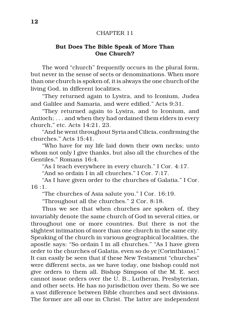#### CHAPTER 11

#### **But Does The Bible Speak of More Than One Church?**

The word "church" frequently occurs in the plural form, but never in the sense of sects or denominations. When more than one church is spoken of, it is always the one church of the living God, in different localities.

"They returned again to Lystra, and to Iconium, Judea and Galilee and Samaria, and were edified." Acts 9:31.

"They returned again to Lystra, and to Iconium, and Antioch; . . . and when they had ordained them elders in every church," etc. Acts 14:21, 23.

"And he went throughout Syria and Cilicia, confirming the churches." Acts 15:41.

"Who have for my life laid down their own necks; unto whom not only I give thanks, but also all the churches of the Gentiles." Romans 16:4.

"As I teach everywhere in every church." I Cor. 4:17.

"And so ordain I in all churches." I Cor. 7:17.

"As I have given order to the churches of Galatia." I Cor. 16 :1.

"The churches of Asia salute you." I Cor. 16:19.

"Throughout all the churches." 2 Cor. 8:18.

Thus we see that when churches are spoken of, they invariably denote the same church of God in several cities, or throughout one or more countries. But there is not the slightest intimation of more than one church in the same city. Speaking of the church in various geographical localities, the apostle says: "So ordain I in all churches." "As I have given order to the churches of Galatia, even so do ye [Corinthians]." It can easily be seen that if these New Testament "churches" were different sects, as we have today, one bishop could not give orders to them all. Bishop Simpson of the M. E. sect cannot issue orders over the U. B., Lutheran, Presbyterian, and other sects. He has no jurisdiction over them. So we see a vast difference between Bible churches and sect divisions. The former are all one in Christ. The latter are independent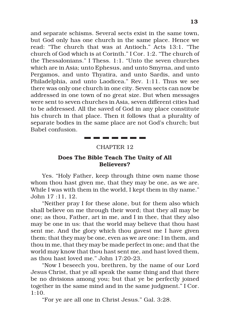and separate schisms. Several sects exist in the same town, but God only has one church in the same place. Hence we read: "The church that was at Antioch." Acts 13:1. "The church of God which is at Corinth." I Cor. 1:2. "The church of the Thessalonians." I Thess. 1:1. "Unto the seven churches which are in Asia; unto Ephesus, and unto Smyrna, and unto Pergamos, and unto Thyatira, and unto Sardis, and unto Philadelphia, and unto Laodicea." Rev. 1:11. Thus we see there was only one church in one city. Seven sects can now be addressed in one town of no great size. But when messages were sent to seven churches in Asia, seven different cities had to be addressed. All the saved of God in any place constitute his church in that place. Then it follows that a plurality of separate bodies in the same place are not God's church; but Babel confusion.

#### CHAPTER 12

-----

#### **Does The Bible Teach The Unity of All Believers?**

Yes. "Holy Father, keep through thine own name those whom thou hast given me, that they may be one, as we are. While I was with them in the world, I kept them in thy name." John 17 :11, 12.

"Neither pray I for these alone, but for them also which shall believe on me through their word; that they all may be one; as thou, Father, art in me, and I in thee, that they also may be one in us: that the world may believe that thou hast sent me. And the glory which thou gavest me I have given them; that they may be one, even as we are one: I in them, and thou in me, that they may be made perfect in one; and that the world may know that thou hast sent me, and hast loved them, as thou hast loved me." John 17:20-23.

"Now I beseech you, brethren, by the name of our Lord Jesus Christ, that ye all speak the same thing and that there be no divisions among you; but that ye be perfectly joined together in the same mind and in the same judgment." I Cor. 1:10.

"For ye are all one in Christ Jesus." Gal. 3:28.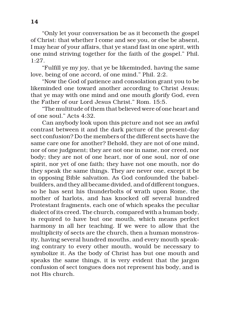"Only let your conversation be as it becometh the gospel of Christ: that whether I come and see you, or else be absent, I may hear of your affairs, that ye stand fast in one spirit, with one mind striving together for the faith of the gospel." Phil. 1:27.

"Fulfill ye my joy, that ye be likeminded, having the same love, being of one accord, of one mind." Phil. 2:2.

"Now the God of patience and consolation grant you to be likeminded one toward another according to Christ Jesus; that ye may with one mind and one mouth glorify God, even the Father of our Lord Jesus Christ." Rom. 15:5.

"The multitude of them that believed were of one heart and of one soul." Acts  $4.32$ .

Can anybody look upon this picture and not see an awful contrast between it and the dark picture of the present-day sect confusion? Do the members of the different sects have the same care one for another? Behold, they are not of one mind, nor of one judgment; they are not one in name, nor creed, nor body; they are not of one heart, nor of one soul, nor of one spirit, nor yet of one faith; they have not one mouth, nor do they speak the same things. They are never one, except it be in opposing Bible salvation. As God confounded the babelbuilders, and they all became divided, and of different tongues, so he has sent his thunderbolts of wrath upon Rome, the mother of harlots, and has knocked off several hundred Protestant fragments, each one of which speaks the peculiar dialect of its creed. The church, compared with a human body, is required to have but one mouth, which means perfect harmony in all her teaching. If we were to allow that the multiplicity of sects are the church, then a human monstrosity, having several hundred mouths, and every mouth speaking contrary to every other mouth, would be necessary to symbolize it. As the body of Christ has but one mouth and speaks the same things, it is very evident that the jargon confusion of sect tongues does not represent his body, and is not His church.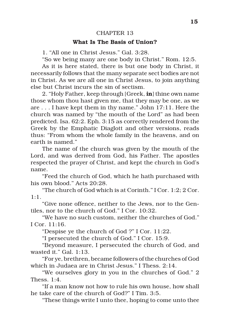#### CHAPTER 13

#### **What Is The Basis of Union?**

1. "All one in Christ Jesus." Gal. 3:28.

"So we being many are one body in Christ." Rom. 12:5.

As it is here stated, there is but one body in Christ, it necessarily follows that the many separate sect bodies are not in Christ. As we are all one in Christ Jesus, to join anything else but Christ incurs the sin of sectism.

2. "Holy Father, keep through [Greek, **in**] thine own name those whom thou hast given me, that they may be one, as we are . . . I have kept them in thy name." John 17:11. Here the church was named by "the mouth of the Lord" as had been predicted. Isa. 62:2. Eph. 3:15 as correctly rendered from the Greek by the Emphatic Diaglott and other versions, reads thus: "From whom the whole family in the heavens, and on earth is named."

The name of the church was given by the mouth of the Lord, and was derived from God, his Father. The apostles respected the prayer of Christ, and kept the church in God's name.

"Feed the church of God, which he hath purchased with his own blood." Acts 20:28.

"The church of God which is at Corinth." I Cor. 1:2; 2 Cor.  $1 \cdot 1$ 

"Give none offence, neither to the Jews, nor to the Gentiles, nor to the church of God." I Cor. 10:32.

"We have no such custom, neither the churches of God." I Cor. 11:16.

"Despise ye the church of God ?" I Cor. 11:22.

"I persecuted the church of God." I Cor. 15:9.

"Beyond measure, I persecuted the church of God, and wasted it." Gal. 1:13.

"For ye, brethren, became followers of the churches of God which in Judaea are in Christ Jesus." I Thess. 2:14.

"We ourselves glory in you in the churches of God." 2 Thess. 1:4.

"If a man know not how to rule his own house, how shall he take care of the church of God?" I Tim. 3:5.

"These things write I unto thee, hoping to come unto thee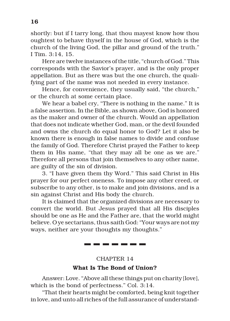shortly: but if I tarry long, that thou mayest know how thou oughtest to behave thyself in the house of God, which is the church of the living God, the pillar and ground of the truth." I Tim. 3:14, 15.

Here are twelve instances of the title, "church of God." This corresponds with the Savior's prayer, and is the only proper appellation. But as there was but the one church, the qualifying part of the name was not needed in every instance.

Hence, for convenience, they usually said, "the church," or the church at some certain place.

We hear a babel cry, "There is nothing in the name." It is a false assertion. In the Bible, as shown above, God is honored as the maker and owner of the church. Would an appellation that does not indicate whether God, man, or the devil founded and owns the church do equal honor to God? Let it also be known there is enough in false names to divide and confuse the family of God. Therefore Christ prayed the Father to keep them in His name, "that they may all be one as we are." Therefore all persons that join themselves to any other name, are guilty of the sin of division.

3. "I have given them thy Word." This said Christ in His prayer for our perfect oneness. To impose any other creed, or subscribe to any other, is to make and join divisions, and is a sin against Christ and His body the church.

It is claimed that the organized divisions are necessary to convert the world. But Jesus prayed that all His disciples should be one as He and the Father are, that the world might believe. O ye sectarians, thus saith God: "Your ways are not my ways, neither are your thoughts my thoughts."

\_\_\_\_\_\_\_

## CHAPTER 14 **What Is The Bond of Union?**

Answer: Love. "Above all these things put on charity [love], which is the bond of perfectness." Col. 3:14.

"That their hearts might be comforted, being knit together in love, and unto all riches of the full assurance of understand-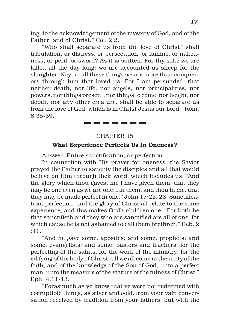ing, to the acknowledgement of the mystery of God, and of the Father, and of Christ." Col. 2:2.

"Who shall separate us from the love of Christ? shall tribulation, or distress, or persecution, or famine, or nakedness, or peril, or sword? As it is written, For thy sake we are killed all the day long; we are accounted as sheep for the slaughter. Nay, in all these things we are more than conquerors through him that loved us. For I am persuaded, that neither death, nor life, nor angels, nor principalities, nor powers, nor things present, nor things to come, nor height, nor depth, nor any other creature, shall be able to separate us from the love of God, which is in Christ Jesus our Lord." Rom. 8:35-39.

## CHAPTER 15

. . . . . . .

#### **What Experience Perfects Us In Oneness?**

Answer: Entire sanctification, or perfection.

In connection with His prayer for oneness, the Savior prayed the Father to sanctify the disciples and all that would believe on Him through their word, which includes us. "And the glory which thou gavest me I have given them; that they may be one even as we are one: I in them, and thou in me, that they may be made perfect in one." John 17:22, 23. Sanctification, perfection, and the glory of Christ all relate to the same experience, and this makes God's children one. "For both he that sanctifieth and they who are sanctified are all of one: for which cause he is not ashamed to call them brethren." Heb. 2 :11.

"And he gave some, apostles; and some, prophets; and some, evangelists; and some, pastors and teachers; for the perfecting of the saints, for the work of the ministry, for the edifying of the body of Christ: till we all come in the unity of the faith, and of the knowledge of the Son of God, unto a perfect man, unto the measure of the stature of the fulness of Christ." Eph. 4:11-13.

"Forasmuch as ye know that ye were not redeemed with corruptible things, as silver and gold, from your vain conversation received by tradition from your fathers; but with the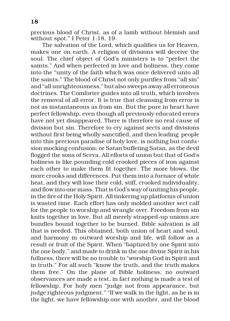precious blood of Christ, as of a lamb without blemish and without spot." I Peter 1:18, 19.

The salvation of the Lord, which qualifies us for Heaven, makes one on earth. A religion of divisions will deceive the soul. The chief object of God's ministers is to "perfect the saints." And when perfected in love and holiness, they come into the "unity of the faith which was once delivered unto all the saints." The blood of Christ not only purifies from "all sin" and "all unrighteousness," but also sweeps away all erroneous doctrines. The Comforter guides into all truth, which involves the removal of all error. It is true that cleansing from error is not as instantaneous as from sin. But the pure in heart have perfect fellowship, even though all previously educated errors have not yet disappeared. There is therefore no real cause of division but sin. Therefore to cry against sects and divisions without first being wholly sanctified, and then leading people into this precious paradise of holy love, is nothing but confusion mocking confusion; or Satan buffeting Satan, as the devil flogged the sons of Sceva. All efforts of union but that of God's holiness is like pounding cold crooked pieces of iron against each other to make them fit together. The more blows, the more crooks and differences. Put them into a furnace of white heat, and they will lose their cold, stiff, crooked individuality, and flow into one mass. That is God's way of uniting his people, in the fire of the Holy Spirit. All tinkering up platforms of union is wasted time. Each effort has only molded another sect calf for the people to worship and wrangle over. Freedom from sin knits together in love. But all merely strapped-up unions are bundles bound together to be burned. Bible salvation is all that is needed. This obtained, both union of heart and soul, and harmony in outward worship and life, will follow as a result or fruit of the Spirit. When "baptized by one Spirit into the one body," and made to drink in the one divine Spirit in his fullness, there will be no trouble to "worship God in Spirit and in truth." For all such "know the truth, and the truth makes them free." On the plane of Bible holiness, no outward observances are made a test, in fact nothing is made a test of fellowship. For holy men "judge not from appearance, but judge righteous judgment." "If we walk in the light, as he is in the light, we have fellowship one with another, and the blood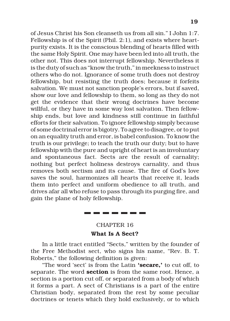of Jesus Christ his Son cleanseth us from all sin." I John 1:7. Fellowship is of the Spirit (Phil. 2:1), and exists where heartpurity exists. It is the conscious blending of hearts filled with the same Holy Spirit. One may have been led into all truth, the other not. This does not interrupt fellowship. Nevertheless it is the duty of such as "know the truth," in meekness to instruct others who do not. Ignorance of some truth does not destroy fellowship, but resisting the truth does; because it forfeits salvation. We must not sanction people's errors, but if saved, show our love and fellowship to them, so long as they do not get the evidence that their wrong doctrines have become willful, or they have in some way lost salvation. Then fellowship ends, but love and kindness still continue in faithful efforts for their salvation. To ignore fellowship simply because of some doctrinal error is bigotry. To agree to disagree, or to put on an equality truth and error, is babel confusion. To know the truth is our privilege; to teach the truth our duty; but to have fellowship with the pure and upright of heart is an involuntary and spontaneous fact. Sects are the result of carnality; nothing but perfect holiness destroys carnality, and thus removes both sectism and its cause. The fire of God's love saves the soul, harmonizes all hearts that receive it, leads them into perfect and uniform obedience to all truth, and drives afar all who refuse to pass through its purging fire, and gain the plane of holy fellowship.

#### CHAPTER 16

#### **What Is A Sect?**

In a little tract entitled "Sects," written by the founder of the Free Methodist sect, who signs his name, "Rev. B. T. Roberts," the following definition is given:

"The word 'sect' is from the Latin **'secare,'** to cut off, to separate. The word **section** is from the same root. Hence, a section is a portion cut off, or separated from a body of which it forms a part. A sect of Christians is a part of the entire Christian body, separated from the rest by some peculiar doctrines or tenets which they hold exclusively, or to which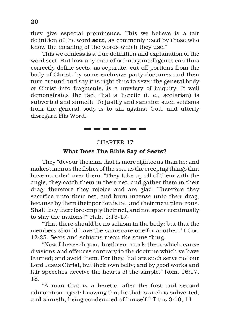they give especial prominence. This we believe is a fair definition of the word **sect**, as commonly used by those who know the meaning of the words which they use."

This we confess is a true definition and explanation of the word sect. But how any man of ordinary intelligence can thus correctly define sects, as separate, cut-off portions from the body of Christ, by some exclusive party doctrines and then turn around and say it is right thus to sever the general body of Christ into fragments, is a mystery of iniquity. It well demonstrates the fact that a heretic (i. e., sectarian) is subverted and sinneth. To justify and sanction such schisms from the general body is to sin against God, and utterly disregard His Word.

#### CHAPTER 17

-------

#### **What Does The Bible Say of Sects?**

They "devour the man that is more righteous than he; and makest men as the fishes of the sea, as the creeping things that have no ruler" over them. "They take up all of them with the angle, they catch them in their net, and gather them in their drag: therefore they rejoice and are glad. Therefore they sacrifice unto their net, and burn incense unto their drag; because by them their portion is fat, and their meat plenteous. Shall they therefore empty their net, and not spare continually to slay the nations?" Hab. 1:13-17.

"That there should be no schism in the body; but that the members should have the same care one for another." I Cor. 12:25. Sects and schisms mean the same thing.

"Now I beseech you, brethren, mark them which cause divisions and offences contrary to the doctrine which ye have learned; and avoid them. For they that are such serve not our Lord Jesus Christ, but their own belly; and by good works and fair speeches deceive the hearts of the simple." Rom. 16:17, 18.

"A man that is a heretic, after the first and second admonition reject: knowing that he that is such is subverted, and sinneth, being condemned of himself." Titus 3:10, 11.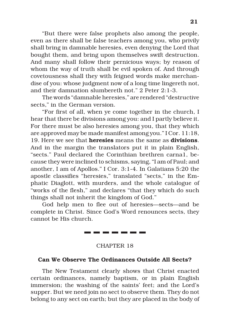"But there were false prophets also among the people, even as there shall be false teachers among you, who privily shall bring in damnable heresies, even denying the Lord that bought them, and bring upon themselves swift destruction. And many shall follow their pernicious ways; by reason of whom the way of truth shall be evil spoken of. And through covetousness shall they with feigned words make merchandise of you: whose judgment now of a long time lingereth not, and their damnation slumbereth not." 2 Peter 2:1-3.

The words "damnable heresies," are rendered "destructive sects," in the German version.

"For first of all, when ye come together in the church, I hear that there be divisions among you: and I partly believe it. For there must be also heresies among you, that they which are approved may be made manifest among you." I Cor. 11:18, 19. Here we see that **heresies** means the same as **divisions**. And in the margin the translators put it in plain English, "sects." Paul declared the Corinthian brethren carna1, because they were inclined to schisms, saying, "I am of Paul; and another, I am of Apollos." I Cor. 3:1-4. In Galatians 5:20 the apostle classifies "heresies," translated "sects," in the Emphatic Diaglott, with murders, and the whole catalogue of "works of the flesh," and declares "that they which do such things shall not inherit the kingdom of God."

God help men to flee out of heresies—sects—and be complete in Christ. Since God's Word renounces sects, they cannot be His church.

CHAPTER 18

--------

#### **Can We Observe The Ordinances Outside All Sects?**

The New Testament clearly shows that Christ enacted certain ordinances, namely baptism, or in plain English immersion; the washing of the saints' feet; and the Lord's supper. But we need join no sect to observe them. They do not belong to any sect on earth; but they are placed in the body of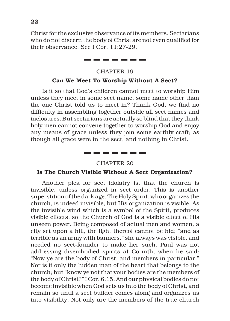Christ for the exclusive observance of its members. Sectarians who do not discern the body of Christ are not even qualified for their observance. See I Cor. 11:27-29.

#### CHAPTER 19

\_\_\_\_\_

#### **Can We Meet To Worship Without A Sect?**

Is it so that God's children cannot meet to worship Him unless they meet in some sect name, some name other than the one Christ told us to meet in? Thank God, we find no difficulty in assembling together outside all sect names and inclosures. But sectarians are actually so blind that they think holy men cannot convene together to worship God and enjoy any means of grace unless they join some earthly craft; as though all grace were in the sect, and nothing in Christ.

### ----------CHAPTER 20

#### **Is The Church Visible Without A Sect Organization?**

Another plea for sect idolatry is, that the church is invisible, unless organized in sect order. This is another superstition of the dark age. The Holy Spirit, who organizes the church, is indeed invisible, but His organization is visible. As the invisible wind which is a symbol of the Spirit, produces visible effects, so the Church of God is a visible effect of His unseen power. Being composed of actual men and women, a city set upon a hill, the light thereof cannot be hid; "and as terrible as an army with banners," she always was visible, and needed no sect-founder to make her such. Paul was not addressing disembodied spirits at Corinth, when he said: "Now ye are the body of Christ, and members in particular." Nor is it only the hidden man of the heart that belongs to the church; but "know ye not that your bodies are the members of the body of Christ?" I Cor. 6:15. And our physical bodies do not become invisible when God sets us into the body of Christ, and remain so until a sect builder comes along and organizes us into visibility. Not only are the members of the true church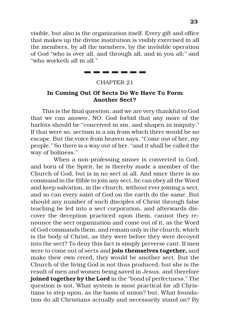visible, but also is the organization itself. Every gift and office that makes up the divine institution is visibly exercised in all the members, by all the members, by the invisible operation of God "who is over all, and through all, and in you all;" and "who worketh all in all."

> \_\_\_\_\_\_\_\_ CHAPTER 21

#### **In Coming Out Of Sects Do We Have To Form Another Sect?**

This is the final question, and we are very thankful to God that we can answer, NO. God forbid that any more of the harlots should be "conceived in sin, and shapen in iniquity." If that were so, sectism is a sin from which there would be no escape. But the voice from heaven says, "Come out of her, my people." So there is a way out of her, "and it shall be called the way of holiness."

When a non-professing sinner is converted to God, and born of the Spirit, he is thereby made a member of the Church of God, but is in no sect at all. And since there is no command in the Bible to join any sect, he can obey all the Word and keep salvation, in the church, without ever joining a sect, and so can every saint of God on the earth do the same. But should any number of such disciples of Christ through false teaching be led into a sect corporation, and afterwards discover the deception practiced upon them, cannot they renounce the sect organization and come out of it, as the Word of God commands them, and remain only in the church, which is the body of Christ, as they were before they were decoyed into the sect? To deny this fact is simply perverse cant. If men were to come out of sects and **join themselves together,** and make their own creed, they would be another sect. But the Church of the living God is not thus produced; but she is the result of men and women being saved in Jesus, and therefore **joined together by the Lord** in the "bond of perfectness." The question is not, What system is most practical for all Christians to step upon, as the basis of union? but, What foundation do all Christians actually and necessarily stand on? By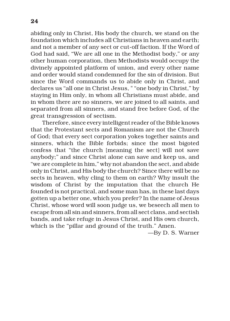abiding only in Christ, His body the church, we stand on the foundation which includes all Christians in heaven and earth; and not a member of any sect or cut-off faction. If the Word of God had said, "We are all one in the Methodist body," or any other human corporation, then Methodists would occupy the divinely appointed platform of union, and every other name and order would stand condemned for the sin of division. But since the Word commands us to abide only in Christ, and declares us "all one in Christ Jesus, " "one body in Christ," by staying in Him only, in whom all Christians must abide, and in whom there are no sinners, we are joined to all saints, and separated from all sinners, and stand free before God, of the great transgression of sectism.

Therefore, since every intelligent reader of the Bible knows that the Protestant sects and Romanism are not the Church of God; that every sect corporation yokes together saints and sinners, which the Bible forbids; since the most bigoted confess that "the church [meaning the sect] will not save anybody;" and since Christ alone can save and keep us, and "we are complete in him," why not abandon the sect, and abide only in Christ, and His body the church? Since there will be no sects in heaven, why cling to them on earth? Why insult the wisdom of Christ by the imputation that the church He founded is not practical, and some man has, in these last days gotten up a better one, which you prefer? In the name of Jesus Christ, whose word will soon judge us, we beseech all men to escape from all sin and sinners, from all sect clans, and sectish bands, and take refuge in Jesus Christ, and His own church, which is the "pillar and ground of the truth." Amen.

—By D. S. Warner